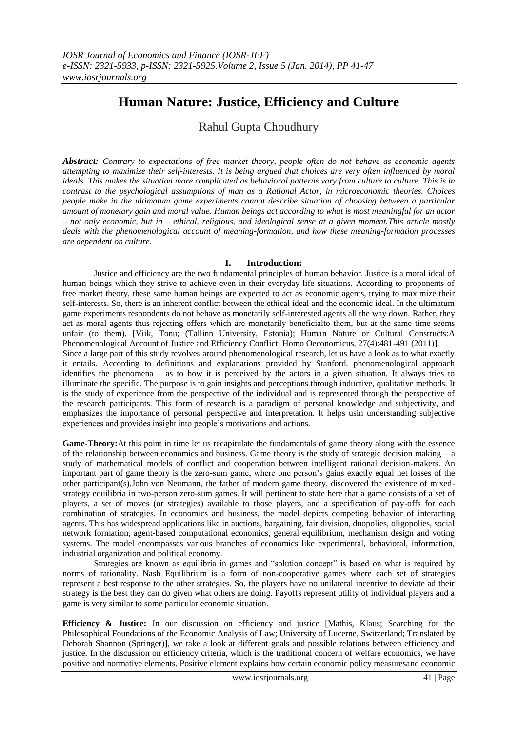## **Human Nature: Justice, Efficiency and Culture**

Rahul Gupta Choudhury

*Abstract: Contrary to expectations of free market theory, people often do not behave as economic agents attempting to maximize their self-interests. It is being argued that choices are very often influenced by moral ideals. This makes the situation more complicated as behavioral patterns vary from culture to culture. This is in contrast to the psychological assumptions of man as a Rational Actor, in microeconomic theories. Choices people make in the ultimatum game experiments cannot describe situation of choosing between a particular amount of monetary gain and moral value. Human beings act according to what is most meaningful for an actor – not only economic, but in – ethical, religious, and ideological sense at a given moment.This article mostly deals with the phenomenological account of meaning-formation, and how these meaning-formation processes are dependent on culture.*

## **I. Introduction:**

Justice and efficiency are the two fundamental principles of human behavior. Justice is a moral ideal of human beings which they strive to achieve even in their everyday life situations. According to proponents of free market theory, these same human beings are expected to act as economic agents, trying to maximize their self-interests. So, there is an inherent conflict between the ethical ideal and the economic ideal. In the ultimatum game experiments respondents do not behave as monetarily self-interested agents all the way down. Rather, they act as moral agents thus rejecting offers which are monetarily beneficialto them, but at the same time seems unfair (to them). [Viik, Tonu; (Tallinn University, Estonia); Human Nature or Cultural Constructs:A Phenomenological Account of Justice and Efficiency Conflict; Homo Oeconomicus, 27(4):481-491 (2011)]. Since a large part of this study revolves around phenomenological research, let us have a look as to what exactly it entails. According to definitions and explanations provided by Stanford, phenomenological approach identifies the phenomena – as to how it is perceived by the actors in a given situation. It always tries to illuminate the specific. The purpose is to gain insights and perceptions through inductive, qualitative methods. It is the study of experience from the perspective of the individual and is represented through the perspective of the research participants. This form of research is a paradigm of personal knowledge and subjectivity, and emphasizes the importance of personal perspective and interpretation. It helps usin understanding subjective experiences and provides insight into people"s motivations and actions.

**Game-Theory:**At this point in time let us recapitulate the fundamentals of game theory along with the essence of the relationship between economics and business. Game theory is the study of strategic decision making  $- a$ study of mathematical models of conflict and cooperation between intelligent rational decision-makers. An important part of game theory is the zero-sum game, where one person"s gains exactly equal net losses of the other participant(s).John von Neumann, the father of modern game theory, discovered the existence of mixedstrategy equilibria in two-person zero-sum games. It will pertinent to state here that a game consists of a set of players, a set of moves (or strategies) available to those players, and a specification of pay-offs for each combination of strategies. In economics and business, the model depicts competing behavior of interacting agents. This has widespread applications like in auctions, bargaining, fair division, duopolies, oligopolies, social network formation, agent-based computational economics, general equilibrium, mechanism design and voting systems. The model encompasses various branches of economics like experimental, behavioral, information, industrial organization and political economy.

Strategies are known as equilibria in games and "solution concept" is based on what is required by norms of rationality. Nash Equilibrium is a form of non-cooperative games where each set of strategies represent a best response to the other strategies. So, the players have no unilateral incentive to deviate ad their strategy is the best they can do given what others are doing. Payoffs represent utility of individual players and a game is very similar to some particular economic situation.

**Efficiency & Justice:** In our discussion on efficiency and justice [Mathis, Klaus; Searching for the Philosophical Foundations of the Economic Analysis of Law; University of Lucerne, Switzerland; Translated by Deborah Shannon (Springer)], we take a look at different goals and possible relations between efficiency and justice. In the discussion on efficiency criteria, which is the traditional concern of welfare economics, we have positive and normative elements. Positive element explains how certain economic policy measuresand economic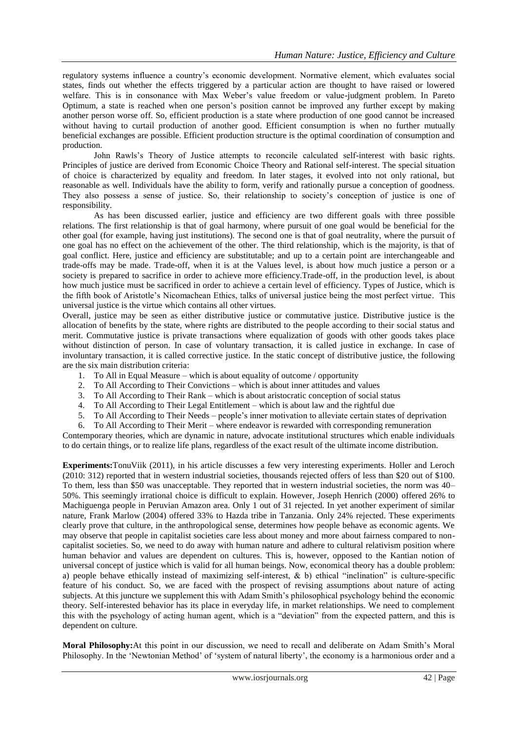regulatory systems influence a country"s economic development. Normative element, which evaluates social states, finds out whether the effects triggered by a particular action are thought to have raised or lowered welfare. This is in consonance with Max Weber's value freedom or value-judgment problem. In Pareto Optimum, a state is reached when one person"s position cannot be improved any further except by making another person worse off. So, efficient production is a state where production of one good cannot be increased without having to curtail production of another good. Efficient consumption is when no further mutually beneficial exchanges are possible. Efficient production structure is the optimal coordination of consumption and production.

John Rawls"s Theory of Justice attempts to reconcile calculated self-interest with basic rights. Principles of justice are derived from Economic Choice Theory and Rational self-interest. The special situation of choice is characterized by equality and freedom. In later stages, it evolved into not only rational, but reasonable as well. Individuals have the ability to form, verify and rationally pursue a conception of goodness. They also possess a sense of justice. So, their relationship to society"s conception of justice is one of responsibility.

As has been discussed earlier, justice and efficiency are two different goals with three possible relations. The first relationship is that of goal harmony, where pursuit of one goal would be beneficial for the other goal (for example, having just institutions). The second one is that of goal neutrality, where the pursuit of one goal has no effect on the achievement of the other. The third relationship, which is the majority, is that of goal conflict. Here, justice and efficiency are substitutable; and up to a certain point are interchangeable and trade-offs may be made. Trade-off, when it is at the Values level, is about how much justice a person or a society is prepared to sacrifice in order to achieve more efficiency.Trade-off, in the production level, is about how much justice must be sacrificed in order to achieve a certain level of efficiency. Types of Justice, which is the fifth book of Aristotle"s Nicomachean Ethics, talks of universal justice being the most perfect virtue. This universal justice is the virtue which contains all other virtues.

Overall, justice may be seen as either distributive justice or commutative justice. Distributive justice is the allocation of benefits by the state, where rights are distributed to the people according to their social status and merit. Commutative justice is private transactions where equalization of goods with other goods takes place without distinction of person. In case of voluntary transaction, it is called justice in exchange. In case of involuntary transaction, it is called corrective justice. In the static concept of distributive justice, the following are the six main distribution criteria:

- 1. To All in Equal Measure which is about equality of outcome / opportunity
- 2. To All According to Their Convictions which is about inner attitudes and values
- 3. To All According to Their Rank which is about aristocratic conception of social status
- 4. To All According to Their Legal Entitlement which is about law and the rightful due
- 5. To All According to Their Needs people"s inner motivation to alleviate certain states of deprivation
- 6. To All According to Their Merit where endeavor is rewarded with corresponding remuneration

Contemporary theories, which are dynamic in nature, advocate institutional structures which enable individuals to do certain things, or to realize life plans, regardless of the exact result of the ultimate income distribution.

**Experiments:**TonuViik (2011), in his article discusses a few very interesting experiments. Holler and Leroch (2010: 312) reported that in western industrial societies, thousands rejected offers of less than \$20 out of \$100. To them, less than \$50 was unacceptable. They reported that in western industrial societies, the norm was 40– 50%. This seemingly irrational choice is difficult to explain. However, Joseph Henrich (2000) offered 26% to Machiguenga people in Peruvian Amazon area. Only 1 out of 31 rejected. In yet another experiment of similar nature, Frank Marlow (2004) offered 33% to Hazda tribe in Tanzania. Only 24% rejected. These experiments clearly prove that culture, in the anthropological sense, determines how people behave as economic agents. We may observe that people in capitalist societies care less about money and more about fairness compared to noncapitalist societies. So, we need to do away with human nature and adhere to cultural relativism position where human behavior and values are dependent on cultures. This is, however, opposed to the Kantian notion of universal concept of justice which is valid for all human beings. Now, economical theory has a double problem: a) people behave ethically instead of maximizing self-interest,  $\&$  b) ethical "inclination" is culture-specific feature of his conduct. So, we are faced with the prospect of revising assumptions about nature of acting subjects. At this juncture we supplement this with Adam Smith's philosophical psychology behind the economic theory. Self-interested behavior has its place in everyday life, in market relationships. We need to complement this with the psychology of acting human agent, which is a "deviation" from the expected pattern, and this is dependent on culture.

**Moral Philosophy:**At this point in our discussion, we need to recall and deliberate on Adam Smith"s Moral Philosophy. In the "Newtonian Method" of "system of natural liberty", the economy is a harmonious order and a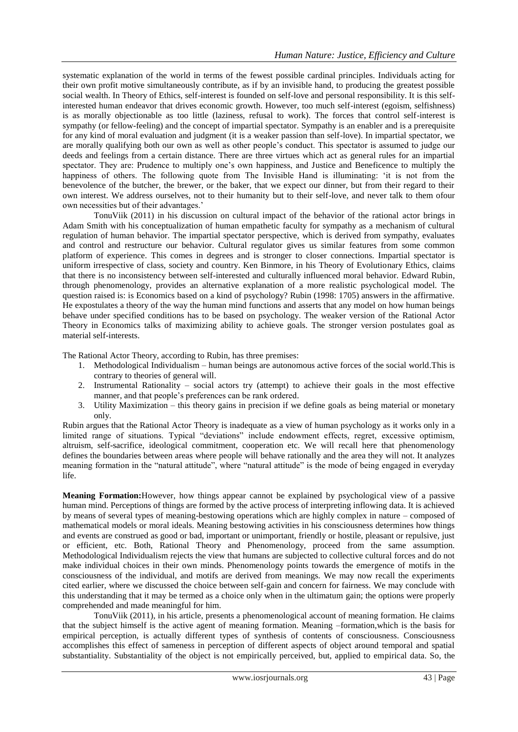systematic explanation of the world in terms of the fewest possible cardinal principles. Individuals acting for their own profit motive simultaneously contribute, as if by an invisible hand, to producing the greatest possible social wealth. In Theory of Ethics, self-interest is founded on self-love and personal responsibility. It is this selfinterested human endeavor that drives economic growth. However, too much self-interest (egoism, selfishness) is as morally objectionable as too little (laziness, refusal to work). The forces that control self-interest is sympathy (or fellow-feeling) and the concept of impartial spectator. Sympathy is an enabler and is a prerequisite for any kind of moral evaluation and judgment (it is a weaker passion than self-love). In impartial spectator, we are morally qualifying both our own as well as other people"s conduct. This spectator is assumed to judge our deeds and feelings from a certain distance. There are three virtues which act as general rules for an impartial spectator. They are: Prudence to multiply one's own happiness, and Justice and Beneficence to multiply the happiness of others. The following quote from The Invisible Hand is illuminating: "it is not from the benevolence of the butcher, the brewer, or the baker, that we expect our dinner, but from their regard to their own interest. We address ourselves, not to their humanity but to their self-love, and never talk to them ofour own necessities but of their advantages."

TonuViik (2011) in his discussion on cultural impact of the behavior of the rational actor brings in Adam Smith with his conceptualization of human empathetic faculty for sympathy as a mechanism of cultural regulation of human behavior. The impartial spectator perspective, which is derived from sympathy, evaluates and control and restructure our behavior. Cultural regulator gives us similar features from some common platform of experience. This comes in degrees and is stronger to closer connections. Impartial spectator is uniform irrespective of class, society and country. Ken Binmore, in his Theory of Evolutionary Ethics, claims that there is no inconsistency between self-interested and culturally influenced moral behavior. Edward Rubin, through phenomenology, provides an alternative explanation of a more realistic psychological model. The question raised is: is Economics based on a kind of psychology? Rubin (1998: 1705) answers in the affirmative. He expostulates a theory of the way the human mind functions and asserts that any model on how human beings behave under specified conditions has to be based on psychology. The weaker version of the Rational Actor Theory in Economics talks of maximizing ability to achieve goals. The stronger version postulates goal as material self-interests.

The Rational Actor Theory, according to Rubin, has three premises:

- 1. Methodological Individualism human beings are autonomous active forces of the social world.This is contrary to theories of general will.
- 2. Instrumental Rationality social actors try (attempt) to achieve their goals in the most effective manner, and that people's preferences can be rank ordered.
- 3. Utility Maximization this theory gains in precision if we define goals as being material or monetary only.

Rubin argues that the Rational Actor Theory is inadequate as a view of human psychology as it works only in a limited range of situations. Typical "deviations" include endowment effects, regret, excessive optimism, altruism, self-sacrifice, ideological commitment, cooperation etc. We will recall here that phenomenology defines the boundaries between areas where people will behave rationally and the area they will not. It analyzes meaning formation in the "natural attitude", where "natural attitude" is the mode of being engaged in everyday life.

**Meaning Formation:**However, how things appear cannot be explained by psychological view of a passive human mind. Perceptions of things are formed by the active process of interpreting inflowing data. It is achieved by means of several types of meaning-bestowing operations which are highly complex in nature – composed of mathematical models or moral ideals. Meaning bestowing activities in his consciousness determines how things and events are construed as good or bad, important or unimportant, friendly or hostile, pleasant or repulsive, just or efficient, etc. Both, Rational Theory and Phenomenology, proceed from the same assumption. Methodological Individualism rejects the view that humans are subjected to collective cultural forces and do not make individual choices in their own minds. Phenomenology points towards the emergence of motifs in the consciousness of the individual, and motifs are derived from meanings. We may now recall the experiments cited earlier, where we discussed the choice between self-gain and concern for fairness. We may conclude with this understanding that it may be termed as a choice only when in the ultimatum gain; the options were properly comprehended and made meaningful for him.

TonuViik (2011), in his article, presents a phenomenological account of meaning formation. He claims that the subject himself is the active agent of meaning formation. Meaning –formation,which is the basis for empirical perception, is actually different types of synthesis of contents of consciousness. Consciousness accomplishes this effect of sameness in perception of different aspects of object around temporal and spatial substantiality. Substantiality of the object is not empirically perceived, but, applied to empirical data. So, the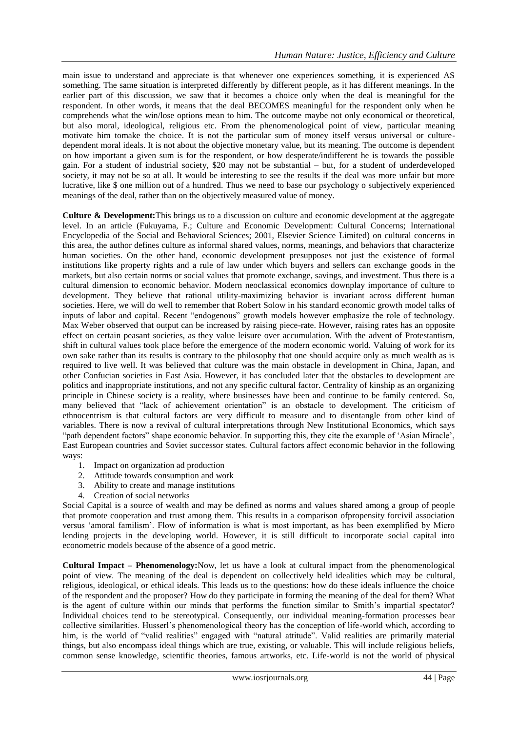main issue to understand and appreciate is that whenever one experiences something, it is experienced AS something. The same situation is interpreted differently by different people, as it has different meanings. In the earlier part of this discussion, we saw that it becomes a choice only when the deal is meaningful for the respondent. In other words, it means that the deal BECOMES meaningful for the respondent only when he comprehends what the win/lose options mean to him. The outcome maybe not only economical or theoretical, but also moral, ideological, religious etc. From the phenomenological point of view, particular meaning motivate him tomake the choice. It is not the particular sum of money itself versus universal or culturedependent moral ideals. It is not about the objective monetary value, but its meaning. The outcome is dependent on how important a given sum is for the respondent, or how desperate/indifferent he is towards the possible gain. For a student of industrial society, \$20 may not be substantial – but, for a student of underdeveloped society, it may not be so at all. It would be interesting to see the results if the deal was more unfair but more lucrative, like \$ one million out of a hundred. Thus we need to base our psychology o subjectively experienced meanings of the deal, rather than on the objectively measured value of money.

**Culture & Development:**This brings us to a discussion on culture and economic development at the aggregate level. In an article (Fukuyama, F.; Culture and Economic Development: Cultural Concerns; International Encyclopedia of the Social and Behavioral Sciences; 2001, Elsevier Science Limited) on cultural concerns in this area, the author defines culture as informal shared values, norms, meanings, and behaviors that characterize human societies. On the other hand, economic development presupposes not just the existence of formal institutions like property rights and a rule of law under which buyers and sellers can exchange goods in the markets, but also certain norms or social values that promote exchange, savings, and investment. Thus there is a cultural dimension to economic behavior. Modern neoclassical economics downplay importance of culture to development. They believe that rational utility-maximizing behavior is invariant across different human societies. Here, we will do well to remember that Robert Solow in his standard economic growth model talks of inputs of labor and capital. Recent "endogenous" growth models however emphasize the role of technology. Max Weber observed that output can be increased by raising piece-rate. However, raising rates has an opposite effect on certain peasant societies, as they value leisure over accumulation. With the advent of Protestantism, shift in cultural values took place before the emergence of the modern economic world. Valuing of work for its own sake rather than its results is contrary to the philosophy that one should acquire only as much wealth as is required to live well. It was believed that culture was the main obstacle in development in China, Japan, and other Confucian societies in East Asia. However, it has concluded later that the obstacles to development are politics and inappropriate institutions, and not any specific cultural factor. Centrality of kinship as an organizing principle in Chinese society is a reality, where businesses have been and continue to be family centered. So, many believed that "lack of achievement orientation" is an obstacle to development. The criticism of ethnocentrism is that cultural factors are very difficult to measure and to disentangle from other kind of variables. There is now a revival of cultural interpretations through New Institutional Economics, which says "path dependent factors" shape economic behavior. In supporting this, they cite the example of 'Asian Miracle', East European countries and Soviet successor states. Cultural factors affect economic behavior in the following ways:

- 1. Impact on organization ad production
- 2. Attitude towards consumption and work
- 3. Ability to create and manage institutions
- 4. Creation of social networks

Social Capital is a source of wealth and may be defined as norms and values shared among a group of people that promote cooperation and trust among them. This results in a comparison ofpropensity forcivil association versus "amoral familism". Flow of information is what is most important, as has been exemplified by Micro lending projects in the developing world. However, it is still difficult to incorporate social capital into econometric models because of the absence of a good metric.

**Cultural Impact – Phenomenology:**Now, let us have a look at cultural impact from the phenomenological point of view. The meaning of the deal is dependent on collectively held idealities which may be cultural, religious, ideological, or ethical ideals. This leads us to the questions: how do these ideals influence the choice of the respondent and the proposer? How do they participate in forming the meaning of the deal for them? What is the agent of culture within our minds that performs the function similar to Smith"s impartial spectator? Individual choices tend to be stereotypical. Consequently, our individual meaning-formation processes bear collective similarities. Husserl"s phenomenological theory has the conception of life-world which, according to him, is the world of "valid realities" engaged with "natural attitude". Valid realities are primarily material things, but also encompass ideal things which are true, existing, or valuable. This will include religious beliefs, common sense knowledge, scientific theories, famous artworks, etc. Life-world is not the world of physical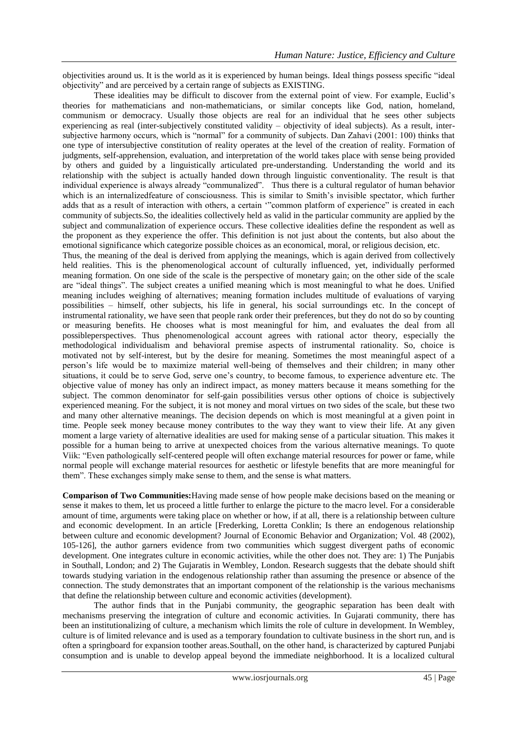objectivities around us. It is the world as it is experienced by human beings. Ideal things possess specific "ideal objectivity" and are perceived by a certain range of subjects as EXISTING.

These idealities may be difficult to discover from the external point of view. For example, Euclid"s theories for mathematicians and non-mathematicians, or similar concepts like God, nation, homeland, communism or democracy. Usually those objects are real for an individual that he sees other subjects experiencing as real (inter-subjectively constituted validity – objectivity of ideal subjects). As a result, intersubjective harmony occurs, which is "normal" for a community of subjects. Dan Zahavi (2001: 100) thinks that one type of intersubjective constitution of reality operates at the level of the creation of reality. Formation of judgments, self-apprehension, evaluation, and interpretation of the world takes place with sense being provided by others and guided by a linguistically articulated pre-understanding. Understanding the world and its relationship with the subject is actually handed down through linguistic conventionality. The result is that individual experience is always already "communalized". Thus there is a cultural regulator of human behavior which is an internalizedfeature of consciousness. This is similar to Smith's invisible spectator, which further adds that as a result of interaction with others, a certain ""common platform of experience" is created in each community of subjects.So, the idealities collectively held as valid in the particular community are applied by the subject and communalization of experience occurs. These collective idealities define the respondent as well as the proponent as they experience the offer. This definition is not just about the contents, but also about the emotional significance which categorize possible choices as an economical, moral, or religious decision, etc. Thus, the meaning of the deal is derived from applying the meanings, which is again derived from collectively

held realities. This is the phenomenological account of culturally influenced, yet, individually performed meaning formation. On one side of the scale is the perspective of monetary gain; on the other side of the scale are "ideal things". The subject creates a unified meaning which is most meaningful to what he does. Unified meaning includes weighing of alternatives; meaning formation includes multitude of evaluations of varying possibilities – himself, other subjects, his life in general, his social surroundings etc. In the concept of instrumental rationality, we have seen that people rank order their preferences, but they do not do so by counting or measuring benefits. He chooses what is most meaningful for him, and evaluates the deal from all possibleperspectives. Thus phenomenological account agrees with rational actor theory, especially the methodological individualism and behavioral premise aspects of instrumental rationality. So, choice is motivated not by self-interest, but by the desire for meaning. Sometimes the most meaningful aspect of a person"s life would be to maximize material well-being of themselves and their children; in many other situations, it could be to serve God, serve one"s country, to become famous, to experience adventure etc. The objective value of money has only an indirect impact, as money matters because it means something for the subject. The common denominator for self-gain possibilities versus other options of choice is subjectively experienced meaning. For the subject, it is not money and moral virtues on two sides of the scale, but these two and many other alternative meanings. The decision depends on which is most meaningful at a given point in time. People seek money because money contributes to the way they want to view their life. At any given moment a large variety of alternative idealities are used for making sense of a particular situation. This makes it possible for a human being to arrive at unexpected choices from the various alternative meanings. To quote Viik: "Even pathologically self-centered people will often exchange material resources for power or fame, while normal people will exchange material resources for aesthetic or lifestyle benefits that are more meaningful for them". These exchanges simply make sense to them, and the sense is what matters.

**Comparison of Two Communities:**Having made sense of how people make decisions based on the meaning or sense it makes to them, let us proceed a little further to enlarge the picture to the macro level. For a considerable amount of time, arguments were taking place on whether or how, if at all, there is a relationship between culture and economic development. In an article [Frederking, Loretta Conklin; Is there an endogenous relationship between culture and economic development? Journal of Economic Behavior and Organization; Vol. 48 (2002), 105-126], the author garners evidence from two communities which suggest divergent paths of economic development. One integrates culture in economic activities, while the other does not. They are: 1) The Punjabis in Southall, London; and 2) The Gujaratis in Wembley, London. Research suggests that the debate should shift towards studying variation in the endogenous relationship rather than assuming the presence or absence of the connection. The study demonstrates that an important component of the relationship is the various mechanisms that define the relationship between culture and economic activities (development).

The author finds that in the Punjabi community, the geographic separation has been dealt with mechanisms preserving the integration of culture and economic activities. In Gujarati community, there has been an institutionalizing of culture, a mechanism which limits the role of culture in development. In Wembley, culture is of limited relevance and is used as a temporary foundation to cultivate business in the short run, and is often a springboard for expansion toother areas.Southall, on the other hand, is characterized by captured Punjabi consumption and is unable to develop appeal beyond the immediate neighborhood. It is a localized cultural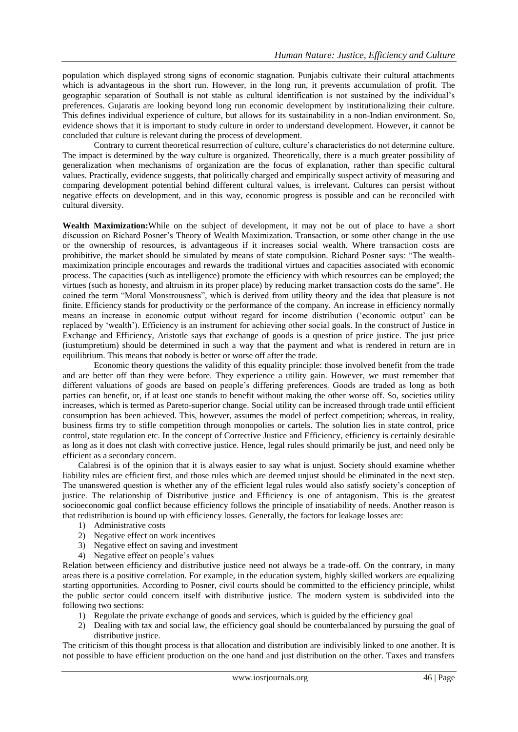population which displayed strong signs of economic stagnation. Punjabis cultivate their cultural attachments which is advantageous in the short run. However, in the long run, it prevents accumulation of profit. The geographic separation of Southall is not stable as cultural identification is not sustained by the individual"s preferences. Gujaratis are looking beyond long run economic development by institutionalizing their culture. This defines individual experience of culture, but allows for its sustainability in a non-Indian environment. So, evidence shows that it is important to study culture in order to understand development. However, it cannot be concluded that culture is relevant during the process of development.

Contrary to current theoretical resurrection of culture, culture's characteristics do not determine culture. The impact is determined by the way culture is organized. Theoretically, there is a much greater possibility of generalization when mechanisms of organization are the focus of explanation, rather than specific cultural values. Practically, evidence suggests, that politically charged and empirically suspect activity of measuring and comparing development potential behind different cultural values, is irrelevant. Cultures can persist without negative effects on development, and in this way, economic progress is possible and can be reconciled with cultural diversity.

**Wealth Maximization:**While on the subject of development, it may not be out of place to have a short discussion on Richard Posner"s Theory of Wealth Maximization. Transaction, or some other change in the use or the ownership of resources, is advantageous if it increases social wealth. Where transaction costs are prohibitive, the market should be simulated by means of state compulsion. Richard Posner says: "The wealthmaximization principle encourages and rewards the traditional virtues and capacities associated with economic process. The capacities (such as intelligence) promote the efficiency with which resources can be employed; the virtues (such as honesty, and altruism in its proper place) by reducing market transaction costs do the same". He coined the term "Moral Monstrousness", which is derived from utility theory and the idea that pleasure is not finite. Efficiency stands for productivity or the performance of the company. An increase in efficiency normally means an increase in economic output without regard for income distribution ("economic output" can be replaced by "wealth"). Efficiency is an instrument for achieving other social goals. In the construct of Justice in Exchange and Efficiency, Aristotle says that exchange of goods is a question of price justice. The just price (iustumpretium) should be determined in such a way that the payment and what is rendered in return are in equilibrium. This means that nobody is better or worse off after the trade.

Economic theory questions the validity of this equality principle: those involved benefit from the trade and are better off than they were before. They experience a utility gain. However, we must remember that different valuations of goods are based on people"s differing preferences. Goods are traded as long as both parties can benefit, or, if at least one stands to benefit without making the other worse off. So, societies utility increases, which is termed as Pareto-superior change. Social utility can be increased through trade until efficient consumption has been achieved. This, however, assumes the model of perfect competition; whereas, in reality, business firms try to stifle competition through monopolies or cartels. The solution lies in state control, price control, state regulation etc. In the concept of Corrective Justice and Efficiency, efficiency is certainly desirable as long as it does not clash with corrective justice. Hence, legal rules should primarily be just, and need only be efficient as a secondary concern.

Calabresi is of the opinion that it is always easier to say what is unjust. Society should examine whether liability rules are efficient first, and those rules which are deemed unjust should be eliminated in the next step. The unanswered question is whether any of the efficient legal rules would also satisfy society"s conception of justice. The relationship of Distributive justice and Efficiency is one of antagonism. This is the greatest socioeconomic goal conflict because efficiency follows the principle of insatiability of needs. Another reason is that redistribution is bound up with efficiency losses. Generally, the factors for leakage losses are:

- 1) Administrative costs
- 2) Negative effect on work incentives
- 3) Negative effect on saving and investment
- 4) Negative effect on people"s values

Relation between efficiency and distributive justice need not always be a trade-off. On the contrary, in many areas there is a positive correlation. For example, in the education system, highly skilled workers are equalizing starting opportunities. According to Posner, civil courts should be committed to the efficiency principle, whilst the public sector could concern itself with distributive justice. The modern system is subdivided into the following two sections:

- 1) Regulate the private exchange of goods and services, which is guided by the efficiency goal
- 2) Dealing with tax and social law, the efficiency goal should be counterbalanced by pursuing the goal of distributive justice.

The criticism of this thought process is that allocation and distribution are indivisibly linked to one another. It is not possible to have efficient production on the one hand and just distribution on the other. Taxes and transfers